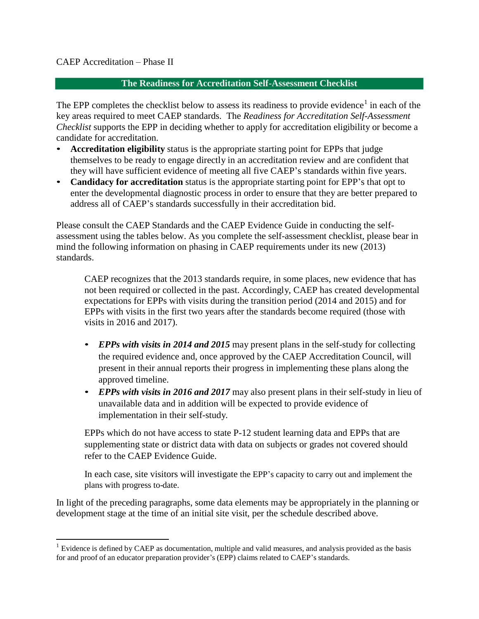#### CAEP Accreditation – Phase II

#### **The Readiness for Accreditation Self-Assessment Checklist**

The EPP completes the checklist below to assess its readiness to provide evidence<sup>1</sup> in each of the key areas required to meet CAEP standards. The *Readiness for Accreditation Self-Assessment Checklist* supports the EPP in deciding whether to apply for accreditation eligibility or become a candidate for accreditation.

- **Accreditation eligibility** status is the appropriate starting point for EPPs that judge themselves to be ready to engage directly in an accreditation review and are confident that they will have sufficient evidence of meeting all five CAEP's standards within five years.
- **Candidacy for accreditation** status is the appropriate starting point for EPP's that opt to enter the developmental diagnostic process in order to ensure that they are better prepared to address all of CAEP's standards successfully in their accreditation bid.

Please consult the CAEP Standards and the CAEP Evidence Guide in conducting the selfassessment using the tables below. As you complete the self-assessment checklist, please bear in mind the following information on phasing in CAEP requirements under its new (2013) standards.

CAEP recognizes that the 2013 standards require, in some places, new evidence that has not been required or collected in the past. Accordingly, CAEP has created developmental expectations for EPPs with visits during the transition period (2014 and 2015) and for EPPs with visits in the first two years after the standards become required (those with visits in 2016 and 2017).

- *EPPs with visits in 2014 and 2015* may present plans in the self-study for collecting the required evidence and, once approved by the CAEP Accreditation Council, will present in their annual reports their progress in implementing these plans along the approved timeline.
- *EPPs with visits in 2016 and 2017* may also present plans in their self-study in lieu of unavailable data and in addition will be expected to provide evidence of implementation in their self-study.

EPPs which do not have access to state P-12 student learning data and EPPs that are supplementing state or district data with data on subjects or grades not covered should refer to the CAEP Evidence Guide.

In each case, site visitors will investigate the EPP's capacity to carry out and implement the plans with progress to-date.

In light of the preceding paragraphs, some data elements may be appropriately in the planning or development stage at the time of an initial site visit, per the schedule described above.

<sup>&</sup>lt;sup>1</sup> Evidence is defined by CAEP as documentation, multiple and valid measures, and analysis provided as the basis for and proof of an educator preparation provider's (EPP) claims related to CAEP's standards.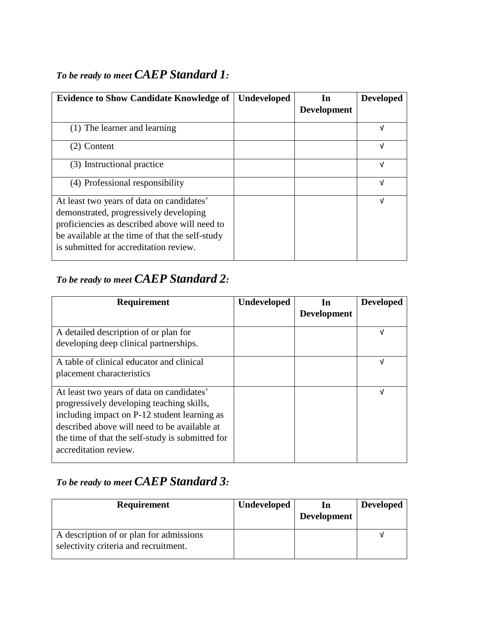### *To be ready to meet CAEP Standard 1:*

| <b>Evidence to Show Candidate Knowledge of</b>                                                                                                                                                                                    | <b>Undeveloped</b> | In                 | <b>Developed</b> |
|-----------------------------------------------------------------------------------------------------------------------------------------------------------------------------------------------------------------------------------|--------------------|--------------------|------------------|
|                                                                                                                                                                                                                                   |                    | <b>Development</b> |                  |
| (1) The learner and learning                                                                                                                                                                                                      |                    |                    | V                |
| $(2)$ Content                                                                                                                                                                                                                     |                    |                    | V                |
| (3) Instructional practice                                                                                                                                                                                                        |                    |                    | V                |
| (4) Professional responsibility                                                                                                                                                                                                   |                    |                    | V                |
| At least two years of data on candidates'<br>demonstrated, progressively developing<br>proficiencies as described above will need to<br>be available at the time of that the self-study<br>is submitted for accreditation review. |                    |                    | V                |

# *To be ready to meet CAEP Standard 2:*

| <b>Requirement</b>                                                                                                                                                                                                                                                  | <b>Undeveloped</b> | In<br><b>Development</b> | <b>Developed</b> |
|---------------------------------------------------------------------------------------------------------------------------------------------------------------------------------------------------------------------------------------------------------------------|--------------------|--------------------------|------------------|
| A detailed description of or plan for<br>developing deep clinical partnerships.                                                                                                                                                                                     |                    |                          | V                |
| A table of clinical educator and clinical<br>placement characteristics                                                                                                                                                                                              |                    |                          | V                |
| At least two years of data on candidates'<br>progressively developing teaching skills,<br>including impact on P-12 student learning as<br>described above will need to be available at<br>the time of that the self-study is submitted for<br>accreditation review. |                    |                          | V                |

# *To be ready to meet CAEP Standard 3:*

| <b>Requirement</b>                                                               | <b>Undeveloped</b> | <b>Development</b> | <b>Developed</b> |
|----------------------------------------------------------------------------------|--------------------|--------------------|------------------|
| A description of or plan for admissions<br>selectivity criteria and recruitment. |                    |                    |                  |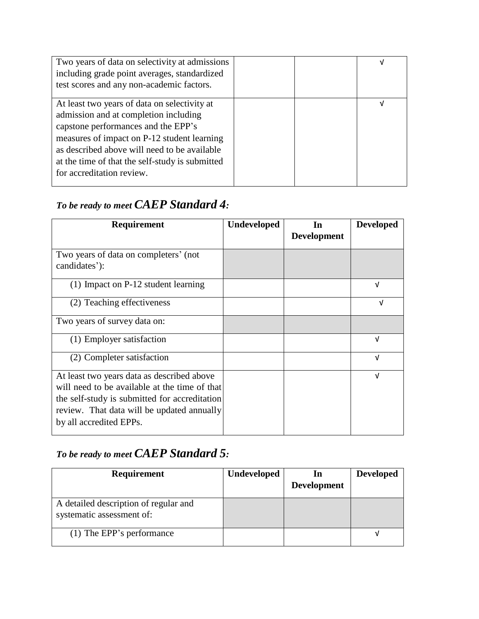| Two years of data on selectivity at admissions<br>including grade point averages, standardized<br>test scores and any non-academic factors.                                                                                                                                                                 |  |   |
|-------------------------------------------------------------------------------------------------------------------------------------------------------------------------------------------------------------------------------------------------------------------------------------------------------------|--|---|
| At least two years of data on selectivity at<br>admission and at completion including<br>capstone performances and the EPP's<br>measures of impact on P-12 student learning<br>as described above will need to be available<br>at the time of that the self-study is submitted<br>for accreditation review. |  | V |

### *To be ready to meet CAEP Standard 4:*

| <b>Requirement</b>                                                                                                                                                                                                    | <b>Undeveloped</b> | In<br><b>Development</b> | <b>Developed</b> |
|-----------------------------------------------------------------------------------------------------------------------------------------------------------------------------------------------------------------------|--------------------|--------------------------|------------------|
| Two years of data on completers' (not<br>candidates'):                                                                                                                                                                |                    |                          |                  |
| $(1)$ Impact on P-12 student learning                                                                                                                                                                                 |                    |                          | v                |
| (2) Teaching effectiveness                                                                                                                                                                                            |                    |                          | V                |
| Two years of survey data on:                                                                                                                                                                                          |                    |                          |                  |
| (1) Employer satisfaction                                                                                                                                                                                             |                    |                          | ν                |
| (2) Completer satisfaction                                                                                                                                                                                            |                    |                          | νI               |
| At least two years data as described above<br>will need to be available at the time of that<br>the self-study is submitted for accreditation<br>review. That data will be updated annually<br>by all accredited EPPs. |                    |                          | V                |

# *To be ready to meet CAEP Standard 5:*

| Requirement                                                        | <b>Undeveloped</b> | In<br><b>Development</b> | <b>Developed</b> |
|--------------------------------------------------------------------|--------------------|--------------------------|------------------|
| A detailed description of regular and<br>systematic assessment of: |                    |                          |                  |
| (1) The EPP's performance                                          |                    |                          |                  |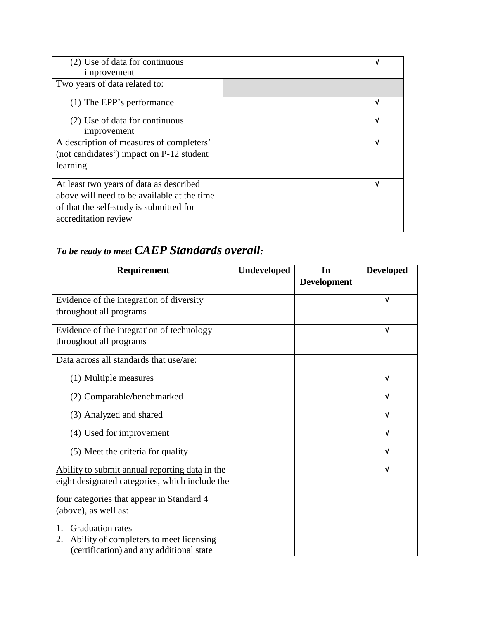| (2) Use of data for continuous<br>improvement | V |
|-----------------------------------------------|---|
| Two years of data related to:                 |   |
| (1) The EPP's performance                     | V |
| (2) Use of data for continuous                | V |
| improvement                                   |   |
| A description of measures of completers'      | v |
| (not candidates') impact on P-12 student      |   |
| learning                                      |   |
| At least two years of data as described       | V |
| above will need to be available at the time   |   |
| of that the self-study is submitted for       |   |
| accreditation review                          |   |

### *To be ready to meet CAEP Standards overall:*

| Requirement                                    | Undeveloped | In                 | <b>Developed</b> |
|------------------------------------------------|-------------|--------------------|------------------|
|                                                |             | <b>Development</b> |                  |
| Evidence of the integration of diversity       |             |                    | $\sqrt{ }$       |
| throughout all programs                        |             |                    |                  |
| Evidence of the integration of technology      |             |                    | $\sqrt{ }$       |
| throughout all programs                        |             |                    |                  |
| Data across all standards that use/are:        |             |                    |                  |
| (1) Multiple measures                          |             |                    | V                |
| (2) Comparable/benchmarked                     |             |                    | $\sqrt{ }$       |
| (3) Analyzed and shared                        |             |                    | $\sqrt{ }$       |
| (4) Used for improvement                       |             |                    | $\sqrt{ }$       |
| (5) Meet the criteria for quality              |             |                    | $\sqrt{ }$       |
| Ability to submit annual reporting data in the |             |                    | $\sqrt{ }$       |
| eight designated categories, which include the |             |                    |                  |
| four categories that appear in Standard 4      |             |                    |                  |
| (above), as well as:                           |             |                    |                  |
| <b>Graduation rates</b>                        |             |                    |                  |
| Ability of completers to meet licensing<br>2.  |             |                    |                  |
| (certification) and any additional state       |             |                    |                  |